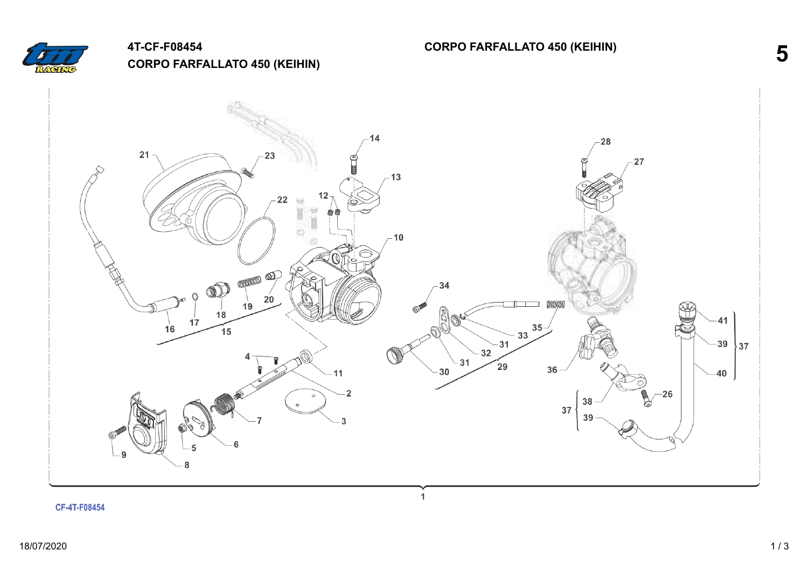

## **4T-CF-F08454 CORPO FARFALLATO 450 (KEIHIN)**

**CORPO FARFALLATO 450 (KEIHIN) 5**

 $14$ 28  $21$  $27$  $-13$  $12<sub>1</sub>$ 22  $\frac{1}{2}$ ï 自自 ë  $-10$ opport and ⊘ 34  $20$  $19$ manan Bou  $18$  $17$ 41  $-33\frac{35}{2}$ Ñ  $16$  $\widetilde{15}$  $-31$ 39  $\frac{1}{37}$  $-32$  $-31$  $\widetilde{29}$ 36  $30$  $11$  $-40$  $\overline{\mathbf{2}}$  $-26$ 38  $\circ$ 37 39 3 ĥ 5 - 9 8

 $\mathbf{1}$ 

CF-4T-F08454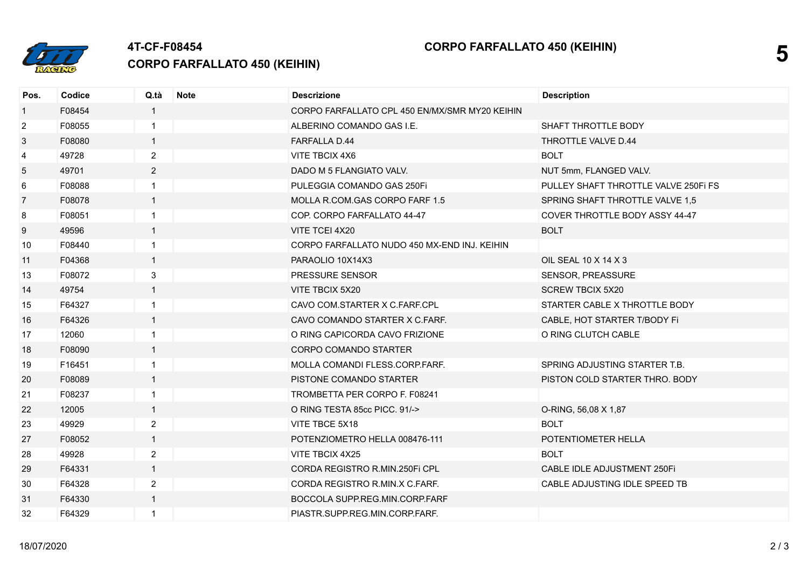

## **4T-CF-F08454**

**CORPO FARFALLATO 450 (KEIHIN)**

| Pos.           | Codice | Q.tà           | <b>Note</b> | <b>Descrizione</b>                             | <b>Description</b>                   |
|----------------|--------|----------------|-------------|------------------------------------------------|--------------------------------------|
| $\mathbf{1}$   | F08454 | $\mathbf{1}$   |             | CORPO FARFALLATO CPL 450 EN/MX/SMR MY20 KEIHIN |                                      |
| $\overline{2}$ | F08055 | $\mathbf{1}$   |             | ALBERINO COMANDO GAS I.E.                      | SHAFT THROTTLE BODY                  |
| 3              | F08080 | $\mathbf{1}$   |             | <b>FARFALLA D.44</b>                           | THROTTLE VALVE D.44                  |
| $\overline{4}$ | 49728  | $\overline{2}$ |             | VITE TBCIX 4X6                                 | <b>BOLT</b>                          |
| 5              | 49701  | $\overline{2}$ |             | DADO M 5 FLANGIATO VALV.                       | NUT 5mm, FLANGED VALV.               |
| 6              | F08088 | $\mathbf{1}$   |             | PULEGGIA COMANDO GAS 250Fi                     | PULLEY SHAFT THROTTLE VALVE 250FI FS |
| $\overline{7}$ | F08078 | $\mathbf{1}$   |             | MOLLA R.COM.GAS CORPO FARF 1.5                 | SPRING SHAFT THROTTLE VALVE 1,5      |
| 8              | F08051 | $\mathbf{1}$   |             | COP. CORPO FARFALLATO 44-47                    | COVER THROTTLE BODY ASSY 44-47       |
| 9              | 49596  | $\mathbf{1}$   |             | VITE TCEI 4X20                                 | <b>BOLT</b>                          |
| 10             | F08440 | $\mathbf{1}$   |             | CORPO FARFALLATO NUDO 450 MX-END INJ. KEIHIN   |                                      |
| 11             | F04368 | $\mathbf{1}$   |             | PARAOLIO 10X14X3                               | OIL SEAL 10 X 14 X 3                 |
| 13             | F08072 | 3              |             | <b>PRESSURE SENSOR</b>                         | SENSOR, PREASSURE                    |
| 14             | 49754  | $\mathbf{1}$   |             | VITE TBCIX 5X20                                | <b>SCREW TBCIX 5X20</b>              |
| 15             | F64327 | $\mathbf{1}$   |             | CAVO COM.STARTER X C.FARF.CPL                  | STARTER CABLE X THROTTLE BODY        |
| 16             | F64326 | $\mathbf{1}$   |             | CAVO COMANDO STARTER X C.FARF.                 | CABLE, HOT STARTER T/BODY Fi         |
| 17             | 12060  | $\mathbf 1$    |             | O RING CAPICORDA CAVO FRIZIONE                 | O RING CLUTCH CABLE                  |
| 18             | F08090 | $\mathbf{1}$   |             | <b>CORPO COMANDO STARTER</b>                   |                                      |
| 19             | F16451 | $\mathbf{1}$   |             | MOLLA COMANDI FLESS.CORP.FARF.                 | SPRING ADJUSTING STARTER T.B.        |
| 20             | F08089 | $\mathbf{1}$   |             | PISTONE COMANDO STARTER                        | PISTON COLD STARTER THRO. BODY       |
| 21             | F08237 | $\mathbf{1}$   |             | TROMBETTA PER CORPO F. F08241                  |                                      |
| 22             | 12005  | $\mathbf{1}$   |             | O RING TESTA 85cc PICC. 91/->                  | O-RING, 56,08 X 1,87                 |
| 23             | 49929  | $\overline{2}$ |             | VITE TBCE 5X18                                 | <b>BOLT</b>                          |
| 27             | F08052 | $\mathbf{1}$   |             | POTENZIOMETRO HELLA 008476-111                 | POTENTIOMETER HELLA                  |
| 28             | 49928  | $\overline{2}$ |             | VITE TBCIX 4X25                                | <b>BOLT</b>                          |
| 29             | F64331 | $\mathbf{1}$   |             | CORDA REGISTRO R.MIN.250FI CPL                 | CABLE IDLE ADJUSTMENT 250Fi          |
| 30             | F64328 | $\overline{2}$ |             | CORDA REGISTRO R.MIN.X C.FARF.                 | CABLE ADJUSTING IDLE SPEED TB        |
| 31             | F64330 | $\mathbf{1}$   |             | BOCCOLA SUPP.REG.MIN.CORP.FARF                 |                                      |
| 32             | F64329 | $\mathbf{1}$   |             | PIASTR.SUPP.REG.MIN.CORP.FARF.                 |                                      |